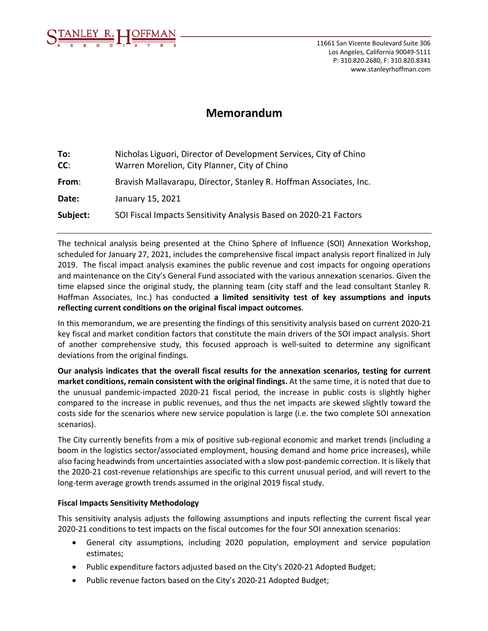

# **Memorandum**

| To:<br>CC: | Nicholas Liguori, Director of Development Services, City of Chino<br>Warren Morelion, City Planner, City of Chino |
|------------|-------------------------------------------------------------------------------------------------------------------|
| From:      | Bravish Mallavarapu, Director, Stanley R. Hoffman Associates, Inc.                                                |
| Date:      | January 15, 2021                                                                                                  |
| Subject:   | SOI Fiscal Impacts Sensitivity Analysis Based on 2020-21 Factors                                                  |

The technical analysis being presented at the Chino Sphere of Influence (SOI) Annexation Workshop, scheduled for January 27, 2021, includes the comprehensive fiscal impact analysis report finalized in July 2019. The fiscal impact analysis examines the public revenue and cost impacts for ongoing operations and maintenance on the City's General Fund associated with the various annexation scenarios. Given the time elapsed since the original study, the planning team (city staff and the lead consultant Stanley R. Hoffman Associates, Inc.) has conducted **a limited sensitivity test of key assumptions and inputs reflecting current conditions on the original fiscal impact outcomes**.

In this memorandum, we are presenting the findings of this sensitivity analysis based on current 2020-21 key fiscal and market condition factors that constitute the main drivers of the SOI impact analysis. Short of another comprehensive study, this focused approach is well-suited to determine any significant deviations from the original findings.

**Our analysis indicates that the overall fiscal results for the annexation scenarios, testing for current market conditions, remain consistent with the original findings.** At the same time, it is noted that due to the unusual pandemic-impacted 2020-21 fiscal period, the increase in public costs is slightly higher compared to the increase in public revenues, and thus the net impacts are skewed slightly toward the costs side for the scenarios where new service population is large (i.e. the two complete SOI annexation scenarios).

The City currently benefits from a mix of positive sub-regional economic and market trends (including a boom in the logistics sector/associated employment, housing demand and home price increases), while also facing headwinds from uncertainties associated with a slow post-pandemic correction. It is likely that the 2020-21 cost-revenue relationships are specific to this current unusual period, and will revert to the long-term average growth trends assumed in the original 2019 fiscal study.

### **Fiscal Impacts Sensitivity Methodology**

This sensitivity analysis adjusts the following assumptions and inputs reflecting the current fiscal year 2020-21 conditions to test impacts on the fiscal outcomes for the four SOI annexation scenarios:

- General city assumptions, including 2020 population, employment and service population estimates;
- Public expenditure factors adjusted based on the City's 2020-21 Adopted Budget;
- Public revenue factors based on the City's 2020-21 Adopted Budget;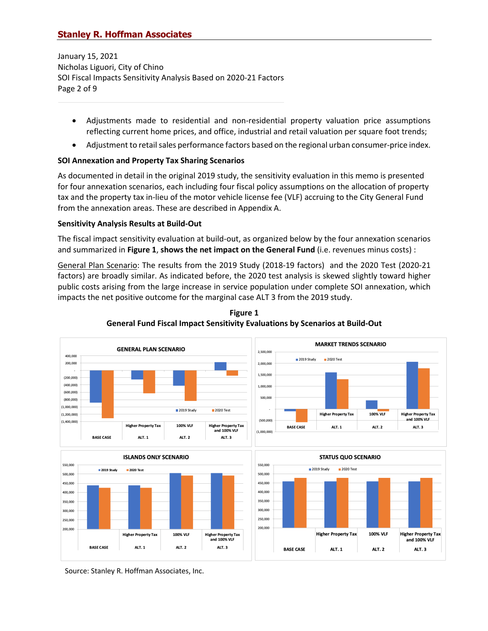January 15, 2021 Nicholas Liguori, City of Chino SOI Fiscal Impacts Sensitivity Analysis Based on 2020-21 Factors Page 2 of 9

- Adjustments made to residential and non-residential property valuation price assumptions reflecting current home prices, and office, industrial and retail valuation per square foot trends;
- Adjustment to retail sales performance factors based on the regional urban consumer-price index.

### **SOI Annexation and Property Tax Sharing Scenarios**

As documented in detail in the original 2019 study, the sensitivity evaluation in this memo is presented for four annexation scenarios, each including four fiscal policy assumptions on the allocation of property tax and the property tax in-lieu of the motor vehicle license fee (VLF) accruing to the City General Fund from the annexation areas. These are described in Appendix A.

#### **Sensitivity Analysis Results at Build-Out**

The fiscal impact sensitivity evaluation at build-out, as organized below by the four annexation scenarios and summarized in **Figure 1**, **shows the net impact on the General Fund** (i.e. revenues minus costs) :

General Plan Scenario: The results from the 2019 Study (2018-19 factors) and the 2020 Test (2020-21 factors) are broadly similar. As indicated before, the 2020 test analysis is skewed slightly toward higher public costs arising from the large increase in service population under complete SOI annexation, which impacts the net positive outcome for the marginal case ALT 3 from the 2019 study.



**Figure 1 General Fund Fiscal Impact Sensitivity Evaluations by Scenarios at Build-Out**

Source: Stanley R. Hoffman Associates, Inc.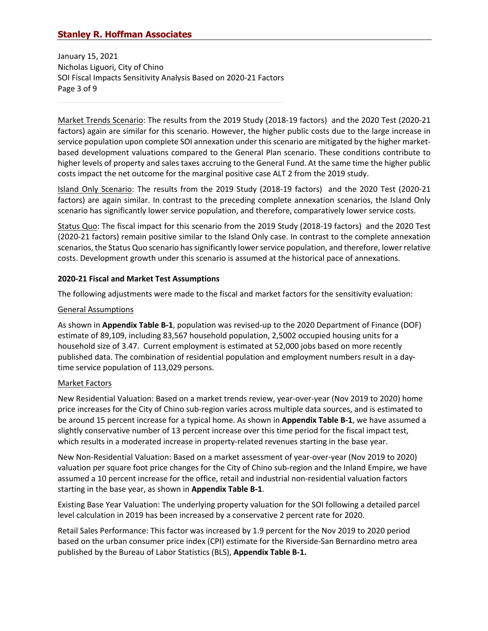January 15, 2021 Nicholas Liguori, City of Chino SOI Fiscal Impacts Sensitivity Analysis Based on 2020-21 Factors Page 3 of 9

Market Trends Scenario: The results from the 2019 Study (2018-19 factors) and the 2020 Test (2020-21 factors) again are similar for this scenario. However, the higher public costs due to the large increase in service population upon complete SOI annexation under this scenario are mitigated by the higher marketbased development valuations compared to the General Plan scenario. These conditions contribute to higher levels of property and sales taxes accruing to the General Fund. At the same time the higher public costs impact the net outcome for the marginal positive case ALT 2 from the 2019 study.

Island Only Scenario: The results from the 2019 Study (2018-19 factors) and the 2020 Test (2020-21 factors) are again similar. In contrast to the preceding complete annexation scenarios, the Island Only scenario has significantly lower service population, and therefore, comparatively lower service costs.

Status Quo: The fiscal impact for this scenario from the 2019 Study (2018-19 factors) and the 2020 Test (2020-21 factors) remain positive similar to the Island Only case. In contrast to the complete annexation scenarios, the Status Quo scenario has significantly lower service population, and therefore, lower relative costs. Development growth under this scenario is assumed at the historical pace of annexations.

### **2020-21 Fiscal and Market Test Assumptions**

The following adjustments were made to the fiscal and market factors for the sensitivity evaluation:

### General Assumptions

As shown in **Appendix Table B-1**, population was revised-up to the 2020 Department of Finance (DOF) estimate of 89,109, including 83,567 household population, 2,5002 occupied housing units for a household size of 3.47. Current employment is estimated at 52,000 jobs based on more recently published data. The combination of residential population and employment numbers result in a daytime service population of 113,029 persons.

### Market Factors

New Residential Valuation: Based on a market trends review, year-over-year (Nov 2019 to 2020) home price increases for the City of Chino sub-region varies across multiple data sources, and is estimated to be around 15 percent increase for a typical home. As shown in **Appendix Table B-1**, we have assumed a slightly conservative number of 13 percent increase over this time period for the fiscal impact test, which results in a moderated increase in property-related revenues starting in the base year.

New Non-Residential Valuation: Based on a market assessment of year-over-year (Nov 2019 to 2020) valuation per square foot price changes for the City of Chino sub-region and the Inland Empire, we have assumed a 10 percent increase for the office, retail and industrial non-residential valuation factors starting in the base year, as shown in **Appendix Table B-1**.

Existing Base Year Valuation: The underlying property valuation for the SOI following a detailed parcel level calculation in 2019 has been increased by a conservative 2 percent rate for 2020.

Retail Sales Performance: This factor was increased by 1.9 percent for the Nov 2019 to 2020 period based on the urban consumer price index (CPI) estimate for the Riverside-San Bernardino metro area published by the Bureau of Labor Statistics (BLS), **Appendix Table B-1.**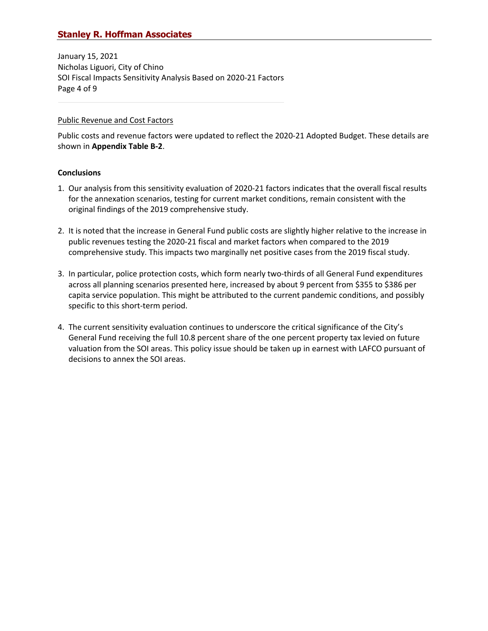January 15, 2021 Nicholas Liguori, City of Chino SOI Fiscal Impacts Sensitivity Analysis Based on 2020-21 Factors Page 4 of 9

#### Public Revenue and Cost Factors

Public costs and revenue factors were updated to reflect the 2020-21 Adopted Budget. These details are shown in **Appendix Table B-2**.

#### **Conclusions**

- 1. Our analysis from this sensitivity evaluation of 2020-21 factors indicates that the overall fiscal results for the annexation scenarios, testing for current market conditions, remain consistent with the original findings of the 2019 comprehensive study.
- 2. It is noted that the increase in General Fund public costs are slightly higher relative to the increase in public revenues testing the 2020-21 fiscal and market factors when compared to the 2019 comprehensive study. This impacts two marginally net positive cases from the 2019 fiscal study.
- 3. In particular, police protection costs, which form nearly two-thirds of all General Fund expenditures across all planning scenarios presented here, increased by about 9 percent from \$355 to \$386 per capita service population. This might be attributed to the current pandemic conditions, and possibly specific to this short-term period.
- 4. The current sensitivity evaluation continues to underscore the critical significance of the City's General Fund receiving the full 10.8 percent share of the one percent property tax levied on future valuation from the SOI areas. This policy issue should be taken up in earnest with LAFCO pursuant of decisions to annex the SOI areas.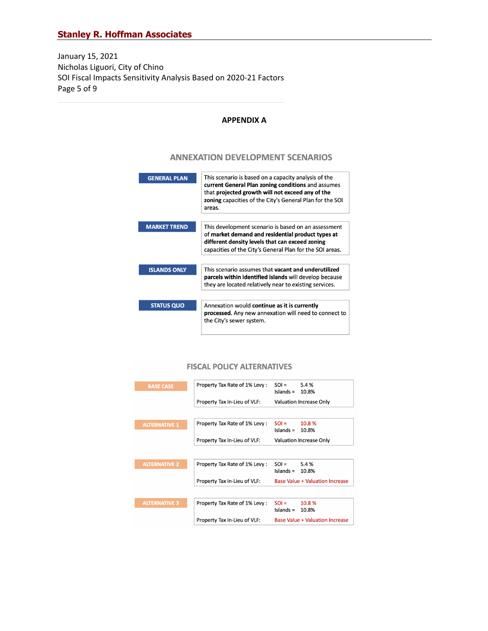January 15, 2021 Nicholas Liguori, City of Chino SOI Fiscal Impacts Sensitivity Analysis Based on 2020-21 Factors Page 5 of 9

#### **APPENDIX A**

### **ANNEXATION DEVELOPMENT SCENARIOS**



#### **FISCAL POLICY ALTERNATIVES**

| <b>BASE CASE</b>     | Property Tax Rate of 1% Levy: | $SOL =$<br>5.4%<br>Islands =<br>10.8%     |
|----------------------|-------------------------------|-------------------------------------------|
|                      | Property Tax In-Lieu of VLF:  | <b>Valuation Increase Only</b>            |
|                      |                               |                                           |
| <b>ALTERNATIVE 1</b> | Property Tax Rate of 1% Levy: | $SOL =$<br>10.8 %<br>$Islands =$<br>10.8% |
|                      | Property Tax In-Lieu of VLF:  | <b>Valuation Increase Only</b>            |
|                      |                               |                                           |
| <b>ALTERNATIVE 2</b> | Property Tax Rate of 1% Levy: | $SOL =$<br>5.4%<br>Islands =<br>10.8%     |
|                      | Property Tax In-Lieu of VLF:  | <b>Base Value + Valuation Increase</b>    |
|                      |                               |                                           |
| <b>ALTERNATIVE 3</b> | Property Tax Rate of 1% Levy: | $SOL =$<br>10.8 %<br>Islands =<br>10.8%   |
|                      | Property Tax In-Lieu of VLF:  | <b>Base Value + Valuation Increase</b>    |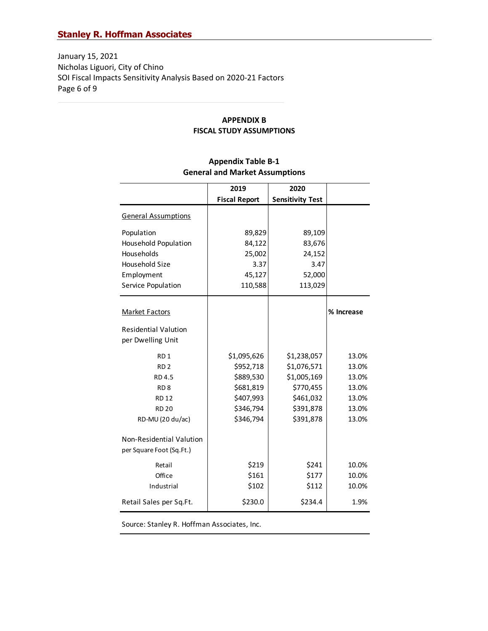January 15, 2021 Nicholas Liguori, City of Chino SOI Fiscal Impacts Sensitivity Analysis Based on 2020-21 Factors Page 6 of 9

#### **APPENDIX B FISCAL STUDY ASSUMPTIONS**

|                             | 2019                 | 2020                    |            |
|-----------------------------|----------------------|-------------------------|------------|
|                             | <b>Fiscal Report</b> | <b>Sensitivity Test</b> |            |
| <b>General Assumptions</b>  |                      |                         |            |
| Population                  | 89,829               | 89,109                  |            |
| <b>Household Population</b> | 84,122               | 83,676                  |            |
| Households                  | 25,002               | 24,152                  |            |
| Household Size              | 3.37                 | 3.47                    |            |
| Employment                  | 45,127               | 52,000                  |            |
| Service Population          | 110,588              | 113,029                 |            |
| <b>Market Factors</b>       |                      |                         | % Increase |
| <b>Residential Valution</b> |                      |                         |            |
| per Dwelling Unit           |                      |                         |            |
|                             |                      |                         |            |
| RD <sub>1</sub>             | \$1,095,626          | \$1,238,057             | 13.0%      |
| RD <sub>2</sub>             | \$952,718            | \$1,076,571             | 13.0%      |
| RD 4.5                      | \$889,530            | \$1,005,169             | 13.0%      |
| RD <sub>8</sub>             | \$681,819            | \$770,455               | 13.0%      |
| <b>RD12</b>                 | \$407,993            | \$461,032               | 13.0%      |
| <b>RD 20</b>                | \$346,794            | \$391,878               | 13.0%      |
| RD-MU (20 du/ac)            | \$346,794            | \$391,878               | 13.0%      |
| Non-Residential Valution    |                      |                         |            |
| per Square Foot (Sq.Ft.)    |                      |                         |            |
| Retail                      | \$219                | \$241                   | 10.0%      |
| Office                      | \$161                | \$177                   | 10.0%      |
| Industrial                  | \$102                | \$112                   | 10.0%      |
| Retail Sales per Sq.Ft.     | \$230.0              | \$234.4                 | 1.9%       |

# **Appendix Table B-1 General and Market Assumptions**

Source: Stanley R. Hoffman Associates, Inc.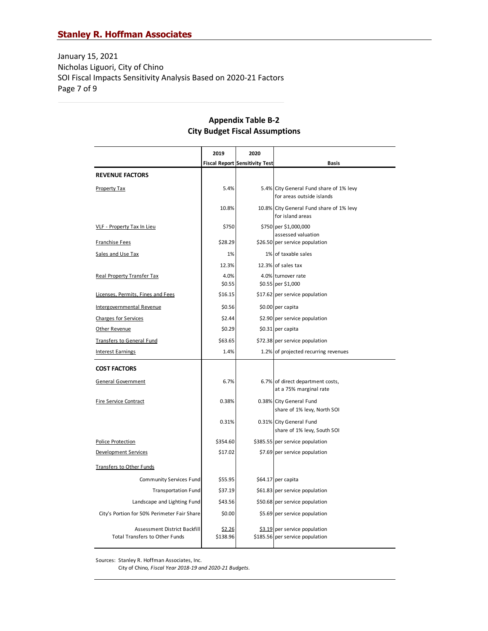January 15, 2021 Nicholas Liguori, City of Chino SOI Fiscal Impacts Sensitivity Analysis Based on 2020-21 Factors Page 7 of 9

# **Appendix Table B-2 City Budget Fiscal Assumptions**

|                                                                       | 2019               | 2020                                  |                                                                      |
|-----------------------------------------------------------------------|--------------------|---------------------------------------|----------------------------------------------------------------------|
|                                                                       |                    | <b>Fiscal Report Sensitivity Test</b> | <b>Basis</b>                                                         |
| <b>REVENUE FACTORS</b>                                                |                    |                                       |                                                                      |
| Property Tax                                                          | 5.4%               |                                       | 5.4% City General Fund share of 1% levy<br>for areas outside islands |
|                                                                       | 10.8%              |                                       | 10.8% City General Fund share of 1% levy<br>for island areas         |
| <b>VLF - Property Tax In Lieu</b>                                     | \$750              |                                       | \$750 per \$1,000,000<br>assessed valuation                          |
| <b>Franchise Fees</b>                                                 | \$28.29            |                                       | \$26.50 per service population                                       |
| Sales and Use Tax                                                     | 1%                 |                                       | 1% of taxable sales                                                  |
|                                                                       | 12.3%              |                                       | 12.3% of sales tax                                                   |
| <b>Real Property Transfer Tax</b>                                     | 4.0%<br>\$0.55     |                                       | 4.0% turnover rate<br>\$0.55 per \$1,000                             |
| Licenses, Permits, Fines and Fees                                     | \$16.15            |                                       | \$17.62 per service population                                       |
| <b>Intergovernmental Revenue</b>                                      | \$0.56             |                                       | \$0.00 per capita                                                    |
| <b>Charges for Services</b>                                           | \$2.44             |                                       | \$2.90 per service population                                        |
| Other Revenue                                                         | \$0.29             |                                       | \$0.31 per capita                                                    |
| Transfers to General Fund                                             | \$63.65            |                                       | \$72.38 per service population                                       |
| <b>Interest Earnings</b>                                              | 1.4%               |                                       | 1.2% of projected recurring revenues                                 |
| <b>COST FACTORS</b>                                                   |                    |                                       |                                                                      |
| <b>General Government</b>                                             | 6.7%               |                                       | 6.7% of direct department costs,<br>at a 75% marginal rate           |
| <b>Fire Service Contract</b>                                          | 0.38%              |                                       | 0.38% City General Fund<br>share of 1% levy, North SOI               |
|                                                                       | 0.31%              |                                       | 0.31% City General Fund                                              |
|                                                                       |                    |                                       | share of 1% levy, South SOI                                          |
| Police Protection                                                     | \$354.60           |                                       | \$385.55 per service population                                      |
| <b>Development Services</b>                                           | \$17.02            |                                       | \$7.69 per service population                                        |
| <b>Transfers to Other Funds</b>                                       |                    |                                       |                                                                      |
| <b>Community Services Fund</b>                                        | \$55.95            |                                       | \$64.17 per capita                                                   |
| <b>Transportation Fund</b>                                            | \$37.19            |                                       | \$61.83 per service population                                       |
| Landscape and Lighting Fund                                           | \$43.56            |                                       | \$50.68 per service population                                       |
| City's Portion for 50% Perimeter Fair Share                           | \$0.00             |                                       | \$5.69 per service population                                        |
| Assessment District Backfill<br><b>Total Transfers to Other Funds</b> | \$2.26<br>\$138.96 |                                       | \$3.19 per service population<br>\$185.56 per service population     |

Sources: Stanley R. Hoffman Associates, Inc.

City of Chino*, Fiscal Year 2018-19 and 2020-21 Budgets.*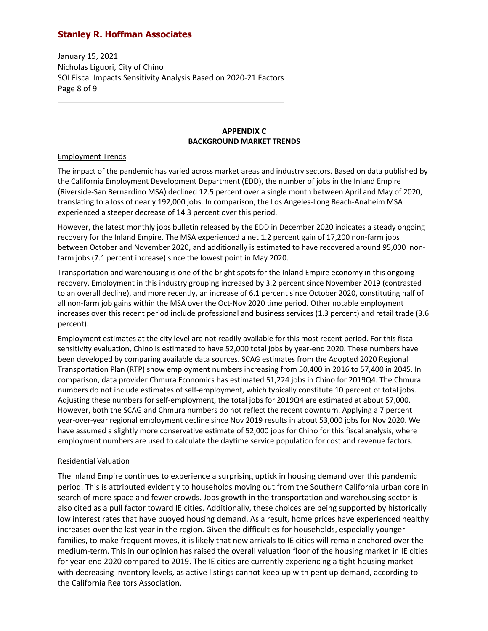January 15, 2021 Nicholas Liguori, City of Chino SOI Fiscal Impacts Sensitivity Analysis Based on 2020-21 Factors Page 8 of 9

### **APPENDIX C BACKGROUND MARKET TRENDS**

#### Employment Trends

The impact of the pandemic has varied across market areas and industry sectors. Based on data published by the California Employment Development Department (EDD), the number of jobs in the Inland Empire (Riverside-San Bernardino MSA) declined 12.5 percent over a single month between April and May of 2020, translating to a loss of nearly 192,000 jobs. In comparison, the Los Angeles-Long Beach-Anaheim MSA experienced a steeper decrease of 14.3 percent over this period.

However, the latest monthly jobs bulletin released by the EDD in December 2020 indicates a steady ongoing recovery for the Inland Empire. The MSA experienced a net 1.2 percent gain of 17,200 non-farm jobs between October and November 2020, and additionally is estimated to have recovered around 95,000 nonfarm jobs (7.1 percent increase) since the lowest point in May 2020.

Transportation and warehousing is one of the bright spots for the Inland Empire economy in this ongoing recovery. Employment in this industry grouping increased by 3.2 percent since November 2019 (contrasted to an overall decline), and more recently, an increase of 6.1 percent since October 2020, constituting half of all non-farm job gains within the MSA over the Oct-Nov 2020 time period. Other notable employment increases over this recent period include professional and business services (1.3 percent) and retail trade (3.6 percent).

Employment estimates at the city level are not readily available for this most recent period. For this fiscal sensitivity evaluation, Chino is estimated to have 52,000 total jobs by year-end 2020. These numbers have been developed by comparing available data sources. SCAG estimates from the Adopted 2020 Regional Transportation Plan (RTP) show employment numbers increasing from 50,400 in 2016 to 57,400 in 2045. In comparison, data provider Chmura Economics has estimated 51,224 jobs in Chino for 2019Q4. The Chmura numbers do not include estimates of self-employment, which typically constitute 10 percent of total jobs. Adjusting these numbers for self-employment, the total jobs for 2019Q4 are estimated at about 57,000. However, both the SCAG and Chmura numbers do not reflect the recent downturn. Applying a 7 percent year-over-year regional employment decline since Nov 2019 results in about 53,000 jobs for Nov 2020. We have assumed a slightly more conservative estimate of 52,000 jobs for Chino for this fiscal analysis, where employment numbers are used to calculate the daytime service population for cost and revenue factors.

### Residential Valuation

The Inland Empire continues to experience a surprising uptick in housing demand over this pandemic period. This is attributed evidently to households moving out from the Southern California urban core in search of more space and fewer crowds. Jobs growth in the transportation and warehousing sector is also cited as a pull factor toward IE cities. Additionally, these choices are being supported by historically low interest rates that have buoyed housing demand. As a result, home prices have experienced healthy increases over the last year in the region. Given the difficulties for households, especially younger families, to make frequent moves, it is likely that new arrivals to IE cities will remain anchored over the medium-term. This in our opinion has raised the overall valuation floor of the housing market in IE cities for year-end 2020 compared to 2019. The IE cities are currently experiencing a tight housing market with decreasing inventory levels, as active listings cannot keep up with pent up demand, according to the California Realtors Association.